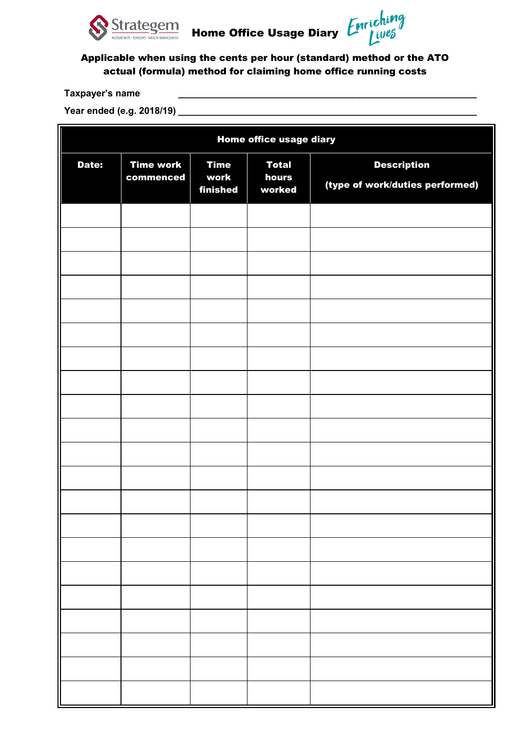

|  | Home Office Usage Diary 【 |  |
|--|---------------------------|--|

ing

## Applicable when using the cents per hour (standard) method or the ATO actual (formula) method for claiming home office running costs

## **Taxpayer's name \_\_\_\_\_\_\_\_\_\_\_\_\_\_\_\_\_\_\_\_\_\_\_\_\_\_\_\_\_\_\_\_\_\_\_\_\_\_\_\_\_\_\_\_\_\_\_\_\_\_\_\_\_\_\_\_\_**

Year ended (e.g. 2018/19)

| Home office usage diary |                               |                                 |                                 |                                                       |  |  |  |
|-------------------------|-------------------------------|---------------------------------|---------------------------------|-------------------------------------------------------|--|--|--|
| Date:                   | <b>Time work</b><br>commenced | <b>Time</b><br>work<br>finished | <b>Total</b><br>hours<br>worked | <b>Description</b><br>(type of work/duties performed) |  |  |  |
|                         |                               |                                 |                                 |                                                       |  |  |  |
|                         |                               |                                 |                                 |                                                       |  |  |  |
|                         |                               |                                 |                                 |                                                       |  |  |  |
|                         |                               |                                 |                                 |                                                       |  |  |  |
|                         |                               |                                 |                                 |                                                       |  |  |  |
|                         |                               |                                 |                                 |                                                       |  |  |  |
|                         |                               |                                 |                                 |                                                       |  |  |  |
|                         |                               |                                 |                                 |                                                       |  |  |  |
|                         |                               |                                 |                                 |                                                       |  |  |  |
|                         |                               |                                 |                                 |                                                       |  |  |  |
|                         |                               |                                 |                                 |                                                       |  |  |  |
|                         |                               |                                 |                                 |                                                       |  |  |  |
|                         |                               |                                 |                                 |                                                       |  |  |  |
|                         |                               |                                 |                                 |                                                       |  |  |  |
|                         |                               |                                 |                                 |                                                       |  |  |  |
|                         |                               |                                 |                                 |                                                       |  |  |  |
|                         |                               |                                 |                                 |                                                       |  |  |  |
|                         |                               |                                 |                                 |                                                       |  |  |  |
|                         |                               |                                 |                                 |                                                       |  |  |  |
|                         |                               |                                 |                                 |                                                       |  |  |  |
|                         |                               |                                 |                                 |                                                       |  |  |  |